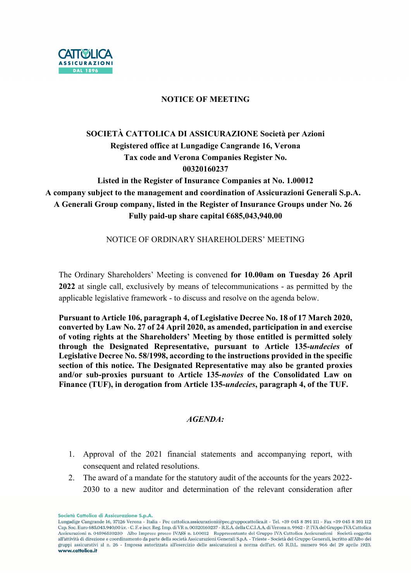

## NOTICE OF MEETING

# SOCIETÀ CATTOLICA DI ASSICURAZIONE Società per Azioni Registered office at Lungadige Cangrande 16, Verona Tax code and Verona Companies Register No. 00320160237

Listed in the Register of Insurance Companies at No. 1.00012 A company subject to the management and coordination of Assicurazioni Generali S.p.A. A Generali Group company, listed in the Register of Insurance Groups under No. 26 Fully paid-up share capital €685,043,940.00

NOTICE OF ORDINARY SHAREHOLDERS' MEETING

The Ordinary Shareholders' Meeting is convened for 10.00am on Tuesday 26 April 2022 at single call, exclusively by means of telecommunications - as permitted by the applicable legislative framework - to discuss and resolve on the agenda below.

Pursuant to Article 106, paragraph 4, of Legislative Decree No. 18 of 17 March 2020, converted by Law No. 27 of 24 April 2020, as amended, participation in and exercise of voting rights at the Shareholders' Meeting by those entitled is permitted solely through the Designated Representative, pursuant to Article 135-undecies of Legislative Decree No. 58/1998, according to the instructions provided in the specific section of this notice. The Designated Representative may also be granted proxies and/or sub-proxies pursuant to Article 135-novies of the Consolidated Law on Finance (TUF), in derogation from Article 135-undecies, paragraph 4, of the TUF.

## $AGENDA \cdot$

- 1. Approval of the 2021 financial statements and accompanying report, with consequent and related resolutions.
- 2. The award of a mandate for the statutory audit of the accounts for the years 2022- 2030 to a new auditor and determination of the relevant consideration after

Società Cattolica di Assicurazione S.p.A.

Lungadige Cangrande 16, 37126 Verona - Italia - Pec cattolica.assicurazioni@pec.gruppocattolica.it - Tel. +39 045 8 391 111 - Fax +39 045 8 391 112 Cap. Soc. Euro 685.043.940,00 i.v. - C. F. e iscr. Reg. Imp. di VR n. 00320160237 - R.E.A. della C.C.I.A.A. di Verona n. 9962 - P. IVA del Gruppo IVA Cattolica Assicurazioni n. 04596530230 - Albo Imprese presso IVASS n. 1.00012 - Rappresentante del Gruppo IVA Cattolica Assicurazioni - Società soggetta all'attività di direzione e coordinamento da parte della società Assicurazioni Generali S.p.A. - Trieste - Società del Gruppo Generali, iscritto all'Albo dei gruppi assicurativi al n. 26 - Impresa autorizzata all'esercizio delle assicurazioni a norma dell'art. 65 R.D.L. numero 966 del 29 aprile 1923. www.cattolica.it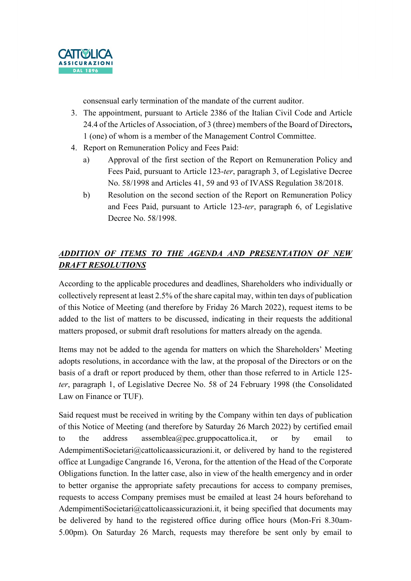

consensual early termination of the mandate of the current auditor.

- 3. The appointment, pursuant to Article 2386 of the Italian Civil Code and Article 24.4 of the Articles of Association, of 3 (three) members of the Board of Directors, 1 (one) of whom is a member of the Management Control Committee.
- 4. Report on Remuneration Policy and Fees Paid:
	- a) Approval of the first section of the Report on Remuneration Policy and Fees Paid, pursuant to Article 123-ter, paragraph 3, of Legislative Decree No. 58/1998 and Articles 41, 59 and 93 of IVASS Regulation 38/2018.
	- b) Resolution on the second section of the Report on Remuneration Policy and Fees Paid, pursuant to Article 123-ter, paragraph 6, of Legislative Decree No. 58/1998.

# ADDITION OF ITEMS TO THE AGENDA AND PRESENTATION OF NEW DRAFT RESOLUTIONS

According to the applicable procedures and deadlines, Shareholders who individually or collectively represent at least 2.5% of the share capital may, within ten days of publication of this Notice of Meeting (and therefore by Friday 26 March 2022), request items to be added to the list of matters to be discussed, indicating in their requests the additional matters proposed, or submit draft resolutions for matters already on the agenda.

Items may not be added to the agenda for matters on which the Shareholders' Meeting adopts resolutions, in accordance with the law, at the proposal of the Directors or on the basis of a draft or report produced by them, other than those referred to in Article 125 ter, paragraph 1, of Legislative Decree No. 58 of 24 February 1998 (the Consolidated Law on Finance or TUF).

Said request must be received in writing by the Company within ten days of publication of this Notice of Meeting (and therefore by Saturday 26 March 2022) by certified email to the address assemblea@pec.gruppocattolica.it, or by email to AdempimentiSocietari@cattolicaassicurazioni.it, or delivered by hand to the registered office at Lungadige Cangrande 16, Verona, for the attention of the Head of the Corporate Obligations function. In the latter case, also in view of the health emergency and in order to better organise the appropriate safety precautions for access to company premises, requests to access Company premises must be emailed at least 24 hours beforehand to AdempimentiSocietari@cattolicaassicurazioni.it, it being specified that documents may be delivered by hand to the registered office during office hours (Mon-Fri 8.30am-5.00pm). On Saturday 26 March, requests may therefore be sent only by email to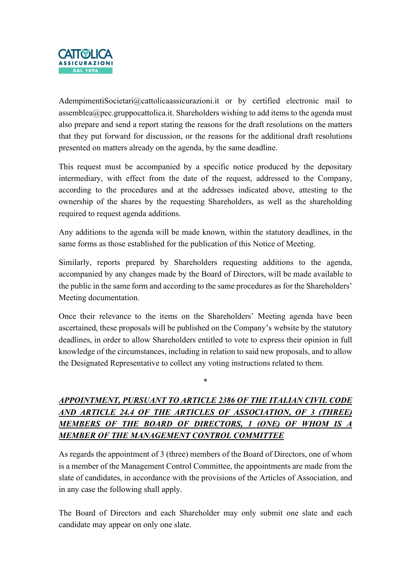

AdempimentiSocietari@cattolicaassicurazioni.it or by certified electronic mail to assemblea@pec.gruppocattolica.it. Shareholders wishing to add items to the agenda must also prepare and send a report stating the reasons for the draft resolutions on the matters that they put forward for discussion, or the reasons for the additional draft resolutions presented on matters already on the agenda, by the same deadline.

This request must be accompanied by a specific notice produced by the depositary intermediary, with effect from the date of the request, addressed to the Company, according to the procedures and at the addresses indicated above, attesting to the ownership of the shares by the requesting Shareholders, as well as the shareholding required to request agenda additions.

Any additions to the agenda will be made known, within the statutory deadlines, in the same forms as those established for the publication of this Notice of Meeting.

Similarly, reports prepared by Shareholders requesting additions to the agenda, accompanied by any changes made by the Board of Directors, will be made available to the public in the same form and according to the same procedures as for the Shareholders' Meeting documentation.

Once their relevance to the items on the Shareholders' Meeting agenda have been ascertained, these proposals will be published on the Company's website by the statutory deadlines, in order to allow Shareholders entitled to vote to express their opinion in full knowledge of the circumstances, including in relation to said new proposals, and to allow the Designated Representative to collect any voting instructions related to them.

# APPOINTMENT, PURSUANT TO ARTICLE 2386 OF THE ITALIAN CIVIL CODE AND ARTICLE 24.4 OF THE ARTICLES OF ASSOCIATION, OF 3 (THREE) MEMBERS OF THE BOARD OF DIRECTORS, 1 (ONE) OF WHOM IS A MEMBER OF THE MANAGEMENT CONTROL COMMITTEE

\*

As regards the appointment of 3 (three) members of the Board of Directors, one of whom is a member of the Management Control Committee, the appointments are made from the slate of candidates, in accordance with the provisions of the Articles of Association, and in any case the following shall apply.

The Board of Directors and each Shareholder may only submit one slate and each candidate may appear on only one slate.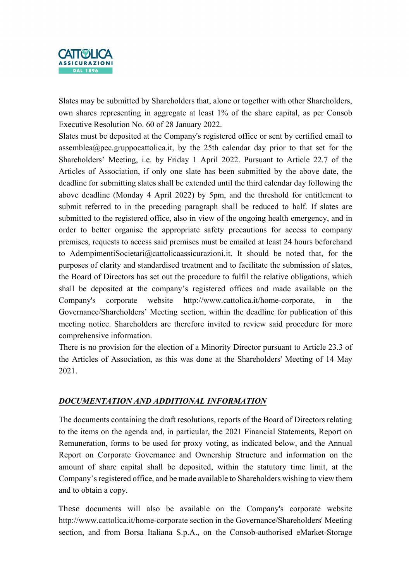

Slates may be submitted by Shareholders that, alone or together with other Shareholders, own shares representing in aggregate at least 1% of the share capital, as per Consob Executive Resolution No. 60 of 28 January 2022.

Slates must be deposited at the Company's registered office or sent by certified email to assemblea@pec.gruppocattolica.it, by the 25th calendar day prior to that set for the Shareholders' Meeting, i.e. by Friday 1 April 2022. Pursuant to Article 22.7 of the Articles of Association, if only one slate has been submitted by the above date, the deadline for submitting slates shall be extended until the third calendar day following the above deadline (Monday 4 April 2022) by 5pm, and the threshold for entitlement to submit referred to in the preceding paragraph shall be reduced to half. If slates are submitted to the registered office, also in view of the ongoing health emergency, and in order to better organise the appropriate safety precautions for access to company premises, requests to access said premises must be emailed at least 24 hours beforehand to AdempimentiSocietari@cattolicaassicurazioni.it. It should be noted that, for the purposes of clarity and standardised treatment and to facilitate the submission of slates, the Board of Directors has set out the procedure to fulfil the relative obligations, which shall be deposited at the company's registered offices and made available on the Company's corporate website http://www.cattolica.it/home-corporate, in the Governance/Shareholders' Meeting section, within the deadline for publication of this meeting notice. Shareholders are therefore invited to review said procedure for more comprehensive information.

There is no provision for the election of a Minority Director pursuant to Article 23.3 of the Articles of Association, as this was done at the Shareholders' Meeting of 14 May 2021.

## DOCUMENTATION AND ADDITIONAL INFORMATION

The documents containing the draft resolutions, reports of the Board of Directors relating to the items on the agenda and, in particular, the 2021 Financial Statements, Report on Remuneration, forms to be used for proxy voting, as indicated below, and the Annual Report on Corporate Governance and Ownership Structure and information on the amount of share capital shall be deposited, within the statutory time limit, at the Company's registered office, and be made available to Shareholders wishing to view them and to obtain a copy.

These documents will also be available on the Company's corporate website http://www.cattolica.it/home-corporate section in the Governance/Shareholders' Meeting section, and from Borsa Italiana S.p.A., on the Consob-authorised eMarket-Storage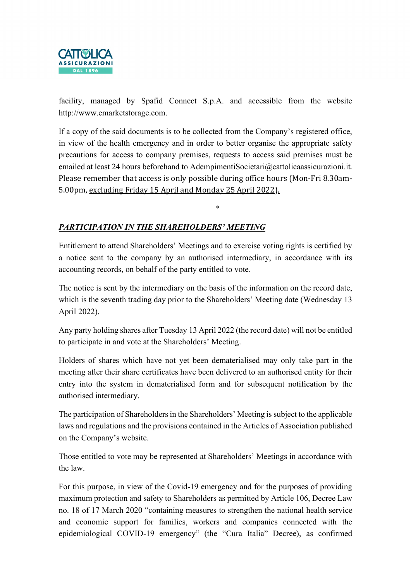

facility, managed by Spafid Connect S.p.A. and accessible from the website http://www.emarketstorage.com.

If a copy of the said documents is to be collected from the Company's registered office, in view of the health emergency and in order to better organise the appropriate safety precautions for access to company premises, requests to access said premises must be emailed at least 24 hours beforehand to AdempimentiSocietari@cattolicaassicurazioni.it. Please remember that access is only possible during office hours (Mon-Fri 8.30am-5.00pm, excluding Friday 15 April and Monday 25 April 2022).

\*

## PARTICIPATION IN THE SHAREHOLDERS' MEETING

Entitlement to attend Shareholders' Meetings and to exercise voting rights is certified by a notice sent to the company by an authorised intermediary, in accordance with its accounting records, on behalf of the party entitled to vote.

The notice is sent by the intermediary on the basis of the information on the record date, which is the seventh trading day prior to the Shareholders' Meeting date (Wednesday 13 April 2022).

Any party holding shares after Tuesday 13 April 2022 (the record date) will not be entitled to participate in and vote at the Shareholders' Meeting.

Holders of shares which have not yet been dematerialised may only take part in the meeting after their share certificates have been delivered to an authorised entity for their entry into the system in dematerialised form and for subsequent notification by the authorised intermediary.

The participation of Shareholders in the Shareholders' Meeting is subject to the applicable laws and regulations and the provisions contained in the Articles of Association published on the Company's website.

Those entitled to vote may be represented at Shareholders' Meetings in accordance with the law.

For this purpose, in view of the Covid-19 emergency and for the purposes of providing maximum protection and safety to Shareholders as permitted by Article 106, Decree Law no. 18 of 17 March 2020 "containing measures to strengthen the national health service and economic support for families, workers and companies connected with the epidemiological COVID-19 emergency" (the "Cura Italia" Decree), as confirmed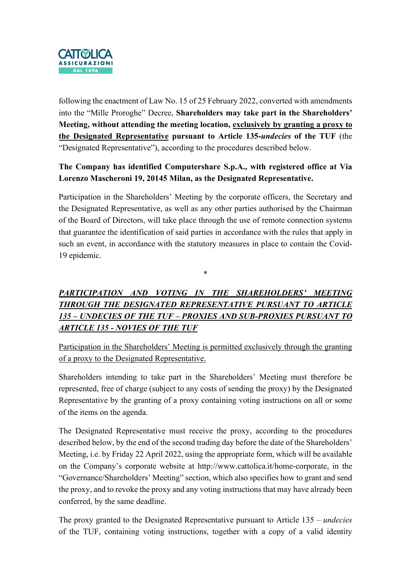

following the enactment of Law No. 15 of 25 February 2022, converted with amendments into the "Mille Proroghe" Decree, Shareholders may take part in the Shareholders' Meeting, without attending the meeting location, exclusively by granting a proxy to the Designated Representative pursuant to Article 135-undecies of the TUF (the "Designated Representative"), according to the procedures described below.

## The Company has identified Computershare S.p.A., with registered office at Via Lorenzo Mascheroni 19, 20145 Milan, as the Designated Representative.

Participation in the Shareholders' Meeting by the corporate officers, the Secretary and the Designated Representative, as well as any other parties authorised by the Chairman of the Board of Directors, will take place through the use of remote connection systems that guarantee the identification of said parties in accordance with the rules that apply in such an event, in accordance with the statutory measures in place to contain the Covid-19 epidemic.

#### \*

# PARTICIPATION AND VOTING IN THE SHAREHOLDERS' MEETING THROUGH THE DESIGNATED REPRESENTATIVE PURSUANT TO ARTICLE 135 – UNDECIES OF THE TUF – PROXIES AND SUB-PROXIES PURSUANT TO ARTICLE 135 - NOVIES OF THE TUF

Participation in the Shareholders' Meeting is permitted exclusively through the granting of a proxy to the Designated Representative.

Shareholders intending to take part in the Shareholders' Meeting must therefore be represented, free of charge (subject to any costs of sending the proxy) by the Designated Representative by the granting of a proxy containing voting instructions on all or some of the items on the agenda.

The Designated Representative must receive the proxy, according to the procedures described below, by the end of the second trading day before the date of the Shareholders' Meeting, i.e. by Friday 22 April 2022, using the appropriate form, which will be available on the Company's corporate website at http://www.cattolica.it/home-corporate, in the "Governance/Shareholders' Meeting" section, which also specifies how to grant and send the proxy, and to revoke the proxy and any voting instructions that may have already been conferred, by the same deadline.

The proxy granted to the Designated Representative pursuant to Article 135 – *undecies* of the TUF, containing voting instructions, together with a copy of a valid identity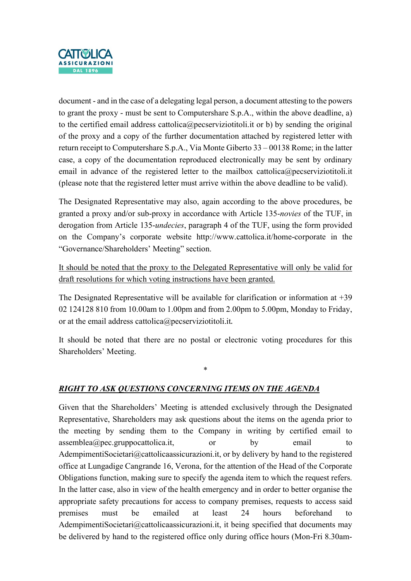

document - and in the case of a delegating legal person, a document attesting to the powers to grant the proxy - must be sent to Computershare S.p.A., within the above deadline, a) to the certified email address cattolica@pecserviziotitoli.it or b) by sending the original of the proxy and a copy of the further documentation attached by registered letter with return receipt to Computershare S.p.A., Via Monte Giberto 33 – 00138 Rome; in the latter case, a copy of the documentation reproduced electronically may be sent by ordinary email in advance of the registered letter to the mailbox cattolica@pecserviziotitoli.it (please note that the registered letter must arrive within the above deadline to be valid).

The Designated Representative may also, again according to the above procedures, be granted a proxy and/or sub-proxy in accordance with Article 135-novies of the TUF, in derogation from Article 135-undecies, paragraph 4 of the TUF, using the form provided on the Company's corporate website http://www.cattolica.it/home-corporate in the "Governance/Shareholders' Meeting" section.

It should be noted that the proxy to the Delegated Representative will only be valid for draft resolutions for which voting instructions have been granted.

The Designated Representative will be available for clarification or information at  $+39$ 02 124128 810 from 10.00am to 1.00pm and from 2.00pm to 5.00pm, Monday to Friday, or at the email address cattolica@pecserviziotitoli.it.

It should be noted that there are no postal or electronic voting procedures for this Shareholders' Meeting.

\*

## RIGHT TO ASK QUESTIONS CONCERNING ITEMS ON THE AGENDA

Given that the Shareholders' Meeting is attended exclusively through the Designated Representative, Shareholders may ask questions about the items on the agenda prior to the meeting by sending them to the Company in writing by certified email to assemblea@pec.gruppocattolica.it, or by email to AdempimentiSocietari@cattolicaassicurazioni.it, or by delivery by hand to the registered office at Lungadige Cangrande 16, Verona, for the attention of the Head of the Corporate Obligations function, making sure to specify the agenda item to which the request refers. In the latter case, also in view of the health emergency and in order to better organise the appropriate safety precautions for access to company premises, requests to access said premises must be emailed at least 24 hours beforehand to AdempimentiSocietari@cattolicaassicurazioni.it, it being specified that documents may be delivered by hand to the registered office only during office hours (Mon-Fri 8.30am-